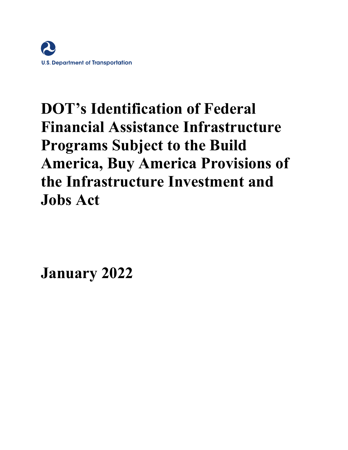

# **DOT's Identification of Federal Financial Assistance Infrastructure Programs Subject to the Build America, Buy America Provisions of the Infrastructure Investment and Jobs Act**

**January 2022**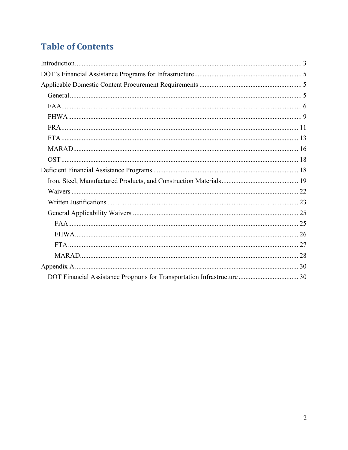# **Table of Contents**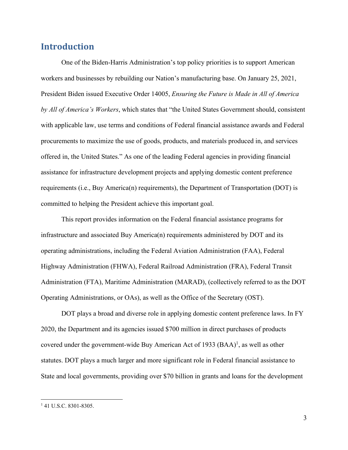# **Introduction**

 One of the Biden-Harris Administration's top policy priorities is to support American workers and businesses by rebuilding our Nation's manufacturing base. On January 25, 2021, President Biden issued Executive Order 14005, *Ensuring the Future is Made in All of America by All of America's Workers*, which states that "the United States Government should, consistent with applicable law, use terms and conditions of Federal financial assistance awards and Federal procurements to maximize the use of goods, products, and materials produced in, and services offered in, the United States." As one of the leading Federal agencies in providing financial assistance for infrastructure development projects and applying domestic content preference requirements (i.e., Buy America(n) requirements), the Department of Transportation (DOT) is committed to helping the President achieve this important goal.

This report provides information on the Federal financial assistance programs for infrastructure and associated Buy America(n) requirements administered by DOT and its operating administrations, including the Federal Aviation Administration (FAA), Federal Highway Administration (FHWA), Federal Railroad Administration (FRA), Federal Transit Administration (FTA), Maritime Administration (MARAD), (collectively referred to as the DOT Operating Administrations, or OAs), as well as the Office of the Secretary (OST).

DOT plays a broad and diverse role in applying domestic content preference laws. In FY 2020, the Department and its agencies issued \$700 million in direct purchases of products covered under the government-wide Buy American Act of 1933  $(BAA)^1$ , as well as other statutes. DOT plays a much larger and more significant role in Federal financial assistance to State and local governments, providing over \$70 billion in grants and loans for the development

<sup>&</sup>lt;sup>1</sup> 41 U.S.C. 8301-8305.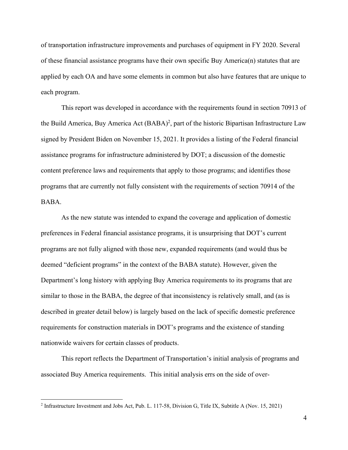of transportation infrastructure improvements and purchases of equipment in FY 2020. Several of these financial assistance programs have their own specific Buy America(n) statutes that are applied by each OA and have some elements in common but also have features that are unique to each program.

This report was developed in accordance with the requirements found in section 70913 of the Build America, Buy America Act (BABA)<sup>2</sup>, part of the historic Bipartisan Infrastructure Law signed by President Biden on November 15, 2021. It provides a listing of the Federal financial assistance programs for infrastructure administered by DOT; a discussion of the domestic content preference laws and requirements that apply to those programs; and identifies those programs that are currently not fully consistent with the requirements of section 70914 of the BABA.

As the new statute was intended to expand the coverage and application of domestic preferences in Federal financial assistance programs, it is unsurprising that DOT's current programs are not fully aligned with those new, expanded requirements (and would thus be deemed "deficient programs" in the context of the BABA statute). However, given the Department's long history with applying Buy America requirements to its programs that are similar to those in the BABA, the degree of that inconsistency is relatively small, and (as is described in greater detail below) is largely based on the lack of specific domestic preference requirements for construction materials in DOT's programs and the existence of standing nationwide waivers for certain classes of products.

This report reflects the Department of Transportation's initial analysis of programs and associated Buy America requirements. This initial analysis errs on the side of over-

<sup>&</sup>lt;sup>2</sup> Infrastructure Investment and Jobs Act, Pub. L. 117-58, Division G, Title IX, Subtitle A (Nov. 15, 2021)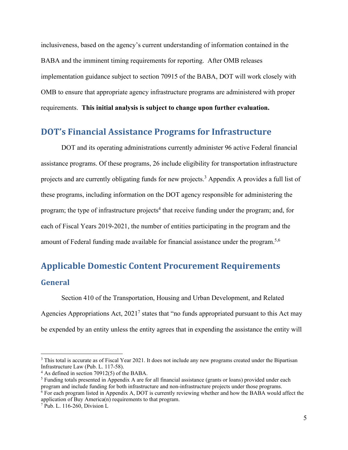inclusiveness, based on the agency's current understanding of information contained in the BABA and the imminent timing requirements for reporting. After OMB releases implementation guidance subject to section 70915 of the BABA, DOT will work closely with OMB to ensure that appropriate agency infrastructure programs are administered with proper requirements. **This initial analysis is subject to change upon further evaluation.**

### **DOT's Financial Assistance Programs for Infrastructure**

DOT and its operating administrations currently administer 96 active Federal financial assistance programs. Of these programs, 26 include eligibility for transportation infrastructure projects and are currently obligating funds for new projects.<sup>3</sup> Appendix A provides a full list of these programs, including information on the DOT agency responsible for administering the program; the type of infrastructure projects<sup>4</sup> that receive funding under the program; and, for each of Fiscal Years 2019-2021, the number of entities participating in the program and the amount of Federal funding made available for financial assistance under the program.<sup>5,6</sup>

# **Applicable Domestic Content Procurement Requirements General**

 Section 410 of the Transportation, Housing and Urban Development, and Related Agencies Appropriations Act,  $2021<sup>7</sup>$  states that "no funds appropriated pursuant to this Act may be expended by an entity unless the entity agrees that in expending the assistance the entity will

<sup>&</sup>lt;sup>3</sup> This total is accurate as of Fiscal Year 2021. It does not include any new programs created under the Bipartisan Infrastructure Law (Pub. L. 117-58).

<sup>4</sup> As defined in section 70912(5) of the BABA.

<sup>&</sup>lt;sup>5</sup> Funding totals presented in Appendix A are for all financial assistance (grants or loans) provided under each program and include funding for both infrastructure and non-infrastructure projects under those programs.

<sup>&</sup>lt;sup>6</sup> For each program listed in Appendix A, DOT is currently reviewing whether and how the BABA would affect the application of Buy America(n) requirements to that program.

<sup>7</sup> Pub. L. 116-260, Division L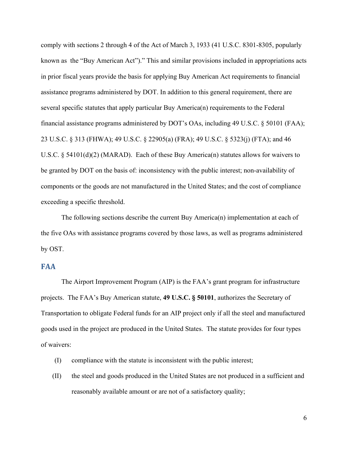comply with sections 2 through 4 of the Act of March 3, 1933 (41 U.S.C. 8301-8305, popularly known as the "Buy American Act")." This and similar provisions included in appropriations acts in prior fiscal years provide the basis for applying Buy American Act requirements to financial assistance programs administered by DOT. In addition to this general requirement, there are several specific statutes that apply particular Buy America(n) requirements to the Federal financial assistance programs administered by DOT's OAs, including 49 U.S.C. § 50101 (FAA); 23 U.S.C. § 313 (FHWA); 49 U.S.C. § 22905(a) (FRA); 49 U.S.C. § 5323(j) (FTA); and 46 U.S.C. § 54101(d)(2) (MARAD). Each of these Buy America(n) statutes allows for waivers to be granted by DOT on the basis of: inconsistency with the public interest; non-availability of components or the goods are not manufactured in the United States; and the cost of compliance exceeding a specific threshold.

The following sections describe the current Buy America(n) implementation at each of the five OAs with assistance programs covered by those laws, as well as programs administered by OST.

### **FAA**

The Airport Improvement Program (AIP) is the FAA's grant program for infrastructure projects. The FAA's Buy American statute, **49 U.S.C. § 50101**, authorizes the Secretary of Transportation to obligate Federal funds for an AIP project only if all the steel and manufactured goods used in the project are produced in the United States. The statute provides for four types of waivers:

- (I) compliance with the statute is inconsistent with the public interest;
- (II) the steel and goods produced in the United States are not produced in a sufficient and reasonably available amount or are not of a satisfactory quality;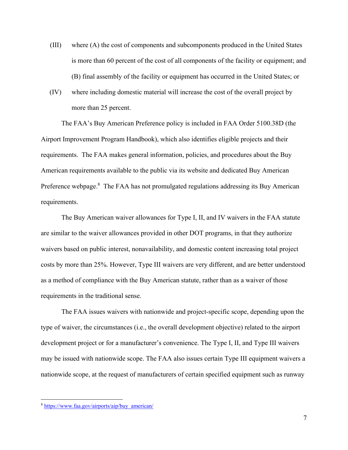- (III) where (A) the cost of components and subcomponents produced in the United States is more than 60 percent of the cost of all components of the facility or equipment; and (B) final assembly of the facility or equipment has occurred in the United States; or
- (IV) where including domestic material will increase the cost of the overall project by more than 25 percent.

The FAA's Buy American Preference policy is included in FAA Order 5100.38D (the Airport Improvement Program Handbook), which also identifies eligible projects and their requirements. The FAA makes general information, policies, and procedures about the Buy American requirements available to the public via its website and dedicated Buy American Preference webpage.<sup>8</sup> The FAA has not promulgated regulations addressing its Buy American requirements.

The Buy American waiver allowances for Type I, II, and IV waivers in the FAA statute are similar to the waiver allowances provided in other DOT programs, in that they authorize waivers based on public interest, nonavailability, and domestic content increasing total project costs by more than 25%. However, Type III waivers are very different, and are better understood as a method of compliance with the Buy American statute, rather than as a waiver of those requirements in the traditional sense.

The FAA issues waivers with nationwide and project-specific scope, depending upon the type of waiver, the circumstances (i.e., the overall development objective) related to the airport development project or for a manufacturer's convenience. The Type I, II, and Type III waivers may be issued with nationwide scope. The FAA also issues certain Type III equipment waivers a nationwide scope, at the request of manufacturers of certain specified equipment such as runway

<sup>8</sup> https://www.faa.gov/airports/aip/buy\_american/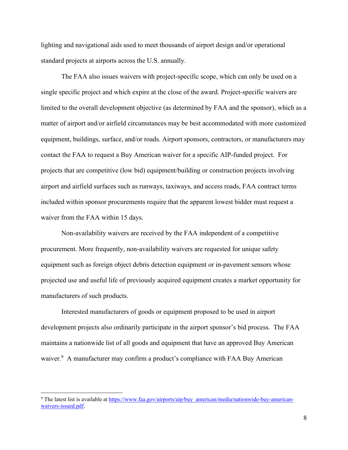lighting and navigational aids used to meet thousands of airport design and/or operational standard projects at airports across the U.S. annually.

The FAA also issues waivers with project-specific scope, which can only be used on a single specific project and which expire at the close of the award. Project-specific waivers are limited to the overall development objective (as determined by FAA and the sponsor), which as a matter of airport and/or airfield circumstances may be best accommodated with more customized equipment, buildings, surface, and/or roads. Airport sponsors, contractors, or manufacturers may contact the FAA to request a Buy American waiver for a specific AIP-funded project. For projects that are competitive (low bid) equipment/building or construction projects involving airport and airfield surfaces such as runways, taxiways, and access roads, FAA contract terms included within sponsor procurements require that the apparent lowest bidder must request a waiver from the FAA within 15 days.

Non-availability waivers are received by the FAA independent of a competitive procurement. More frequently, non-availability waivers are requested for unique safety equipment such as foreign object debris detection equipment or in-pavement sensors whose projected use and useful life of previously acquired equipment creates a market opportunity for manufacturers of such products.

Interested manufacturers of goods or equipment proposed to be used in airport development projects also ordinarily participate in the airport sponsor's bid process. The FAA maintains a nationwide list of all goods and equipment that have an approved Buy American waiver.<sup>9</sup> A manufacturer may confirm a product's compliance with FAA Buy American

<sup>&</sup>lt;sup>9</sup> The latest list is available at https://www.faa.gov/airports/aip/buy\_american/media/nationwide-buy-americanwaivers-issued.pdf.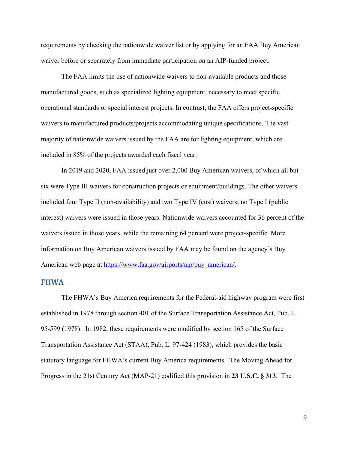requirements by checking the nationwide waiver list or by applying for an FAA Buy American waiver before or separately from immediate participation on an AIP-funded project.

The FAA limits the use of nationwide waivers to non-available products and those manufactured goods, such as specialized lighting equipment, necessary to meet specific operational standards or special interest projects. In contrast, the FAA offers project-specific waivers to manufactured products/projects accommodating unique specifications. The vast majority of nationwide waivers issued by the FAA are for lighting equipment, which are included in 85% of the projects awarded each fiscal year.

In 2019 and 2020, FAA issued just over 2,000 Buy American waivers, of which all but six were Type III waivers for construction projects or equipment/buildings. The other waivers included four Type II (non-availability) and two Type IV (cost) waivers; no Type I (public interest) waivers were issued in those years. Nationwide waivers accounted for 36 percent of the waivers issued in those years, while the remaining 64 percent were project-specific. More information on Buy American waivers issued by FAA may be found on the agency's Buy American web page at https://www.faa.gov/airports/aip/buy\_american/.

#### **FHWA**

The FHWA's Buy America requirements for the Federal-aid highway program were first established in 1978 through section 401 of the Surface Transportation Assistance Act, Pub. L. 95-599 (1978). In 1982, these requirements were modified by section 165 of the Surface Transportation Assistance Act (STAA), Pub. L. 97-424 (1983), which provides the basic statutory language for FHWA's current Buy America requirements. The Moving Ahead for Progress in the 21st Century Act (MAP-21) codified this provision in **23 U.S.C. § 313**. The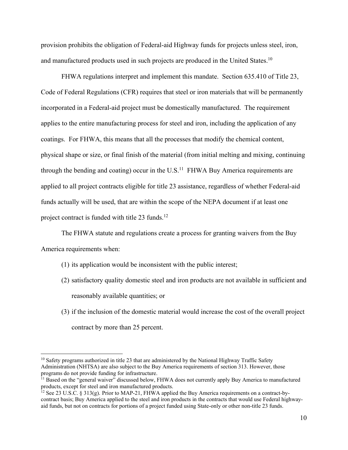provision prohibits the obligation of Federal-aid Highway funds for projects unless steel, iron, and manufactured products used in such projects are produced in the United States.<sup>10</sup>

FHWA regulations interpret and implement this mandate. Section 635.410 of Title 23, Code of Federal Regulations (CFR) requires that steel or iron materials that will be permanently incorporated in a Federal-aid project must be domestically manufactured. The requirement applies to the entire manufacturing process for steel and iron, including the application of any coatings. For FHWA, this means that all the processes that modify the chemical content, physical shape or size, or final finish of the material (from initial melting and mixing, continuing through the bending and coating) occur in the  $U.S.<sup>11</sup>$  FHWA Buy America requirements are applied to all project contracts eligible for title 23 assistance, regardless of whether Federal-aid funds actually will be used, that are within the scope of the NEPA document if at least one project contract is funded with title  $23$  funds.<sup>12</sup>

The FHWA statute and regulations create a process for granting waivers from the Buy America requirements when:

- (1) its application would be inconsistent with the public interest;
- (2) satisfactory quality domestic steel and iron products are not available in sufficient and reasonably available quantities; or
- (3) if the inclusion of the domestic material would increase the cost of the overall project contract by more than 25 percent.

 $10$  Safety programs authorized in title 23 that are administered by the National Highway Traffic Safety Administration (NHTSA) are also subject to the Buy America requirements of section 313. However, those programs do not provide funding for infrastructure.

 $11$  Based on the "general waiver" discussed below, FHWA does not currently apply Buy America to manufactured products, except for steel and iron manufactured products.

<sup>&</sup>lt;sup>12</sup> See 23 U.S.C. § 313(g). Prior to MAP-21, FHWA applied the Buy America requirements on a contract-bycontract basis; Buy America applied to the steel and iron products in the contracts that would use Federal highwayaid funds, but not on contracts for portions of a project funded using State-only or other non-title 23 funds.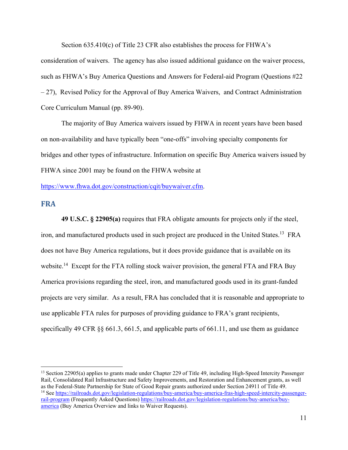Section 635.410(c) of Title 23 CFR also establishes the process for FHWA's consideration of waivers. The agency has also issued additional guidance on the waiver process, such as FHWA's Buy America Questions and Answers for Federal-aid Program (Questions #22 – 27), Revised Policy for the Approval of Buy America Waivers, and Contract Administration Core Curriculum Manual (pp. 89-90).

The majority of Buy America waivers issued by FHWA in recent years have been based on non-availability and have typically been "one-offs" involving specialty components for bridges and other types of infrastructure. Information on specific Buy America waivers issued by FHWA since 2001 may be found on the FHWA website at

https://www.fhwa.dot.gov/construction/cqit/buywaiver.cfm.

#### **FRA**

**49 U.S.C. § 22905(a)** requires that FRA obligate amounts for projects only if the steel, iron, and manufactured products used in such project are produced in the United States.<sup>13</sup> FRA does not have Buy America regulations, but it does provide guidance that is available on its website.<sup>14</sup> Except for the FTA rolling stock waiver provision, the general FTA and FRA Buy America provisions regarding the steel, iron, and manufactured goods used in its grant-funded projects are very similar. As a result, FRA has concluded that it is reasonable and appropriate to use applicable FTA rules for purposes of providing guidance to FRA's grant recipients, specifically 49 CFR §§ 661.3, 661.5, and applicable parts of 661.11, and use them as guidance

<sup>&</sup>lt;sup>13</sup> Section 22905(a) applies to grants made under Chapter 229 of Title 49, including High-Speed Intercity Passenger Rail, Consolidated Rail Infrastructure and Safety Improvements, and Restoration and Enhancement grants, as well as the Federal-State Partnership for State of Good Repair grants authorized under Section 24911 of Title 49.<br><sup>14</sup> See https://railroads.dot.gov/legislation-regulations/buy-america/buy-america-fras-high-speed-intercity-pass rail-program (Frequently Asked Questions) https://railroads.dot.gov/legislation-regulations/buy-america/buyamerica (Buy America Overview and links to Waiver Requests).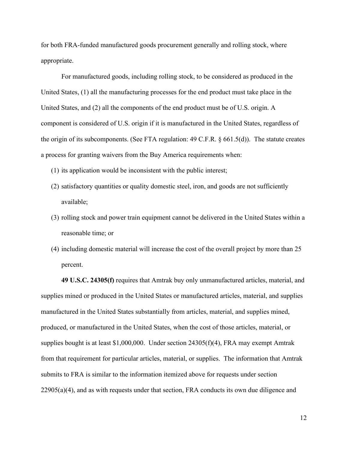for both FRA-funded manufactured goods procurement generally and rolling stock, where appropriate.

For manufactured goods, including rolling stock, to be considered as produced in the United States, (1) all the manufacturing processes for the end product must take place in the United States, and (2) all the components of the end product must be of U.S. origin. A component is considered of U.S. origin if it is manufactured in the United States, regardless of the origin of its subcomponents. (See FTA regulation:  $49 \text{ C.F.R.}$  §  $661.5(d)$ ). The statute creates a process for granting waivers from the Buy America requirements when:

- (1) its application would be inconsistent with the public interest;
- (2) satisfactory quantities or quality domestic steel, iron, and goods are not sufficiently available;
- (3) rolling stock and power train equipment cannot be delivered in the United States within a reasonable time; or
- (4) including domestic material will increase the cost of the overall project by more than 25 percent.

**49 U.S.C. 24305(f)** requires that Amtrak buy only unmanufactured articles, material, and supplies mined or produced in the United States or manufactured articles, material, and supplies manufactured in the United States substantially from articles, material, and supplies mined, produced, or manufactured in the United States, when the cost of those articles, material, or supplies bought is at least  $$1,000,000$ . Under section  $24305(f)(4)$ , FRA may exempt Amtrak from that requirement for particular articles, material, or supplies. The information that Amtrak submits to FRA is similar to the information itemized above for requests under section  $22905(a)(4)$ , and as with requests under that section, FRA conducts its own due diligence and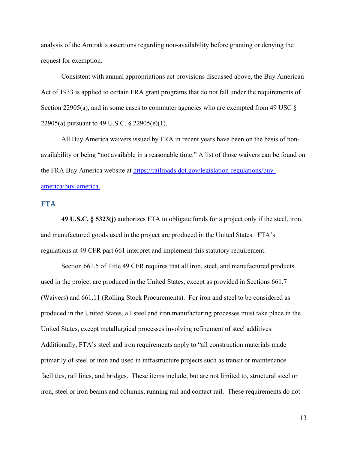analysis of the Amtrak's assertions regarding non-availability before granting or denying the request for exemption.

Consistent with annual appropriations act provisions discussed above, the Buy American Act of 1933 is applied to certain FRA grant programs that do not fall under the requirements of Section 22905(a), and in some cases to commuter agencies who are exempted from 49 USC  $\S$ 22905(a) pursuant to 49 U.S.C. § 22905(e)(1).

All Buy America waivers issued by FRA in recent years have been on the basis of nonavailability or being "not available in a reasonable time." A list of those waivers can be found on the FRA Buy America website at https://railroads.dot.gov/legislation-regulations/buyamerica/buy-america.

#### **FTA**

**49 U.S.C. § 5323(j)** authorizes FTA to obligate funds for a project only if the steel, iron, and manufactured goods used in the project are produced in the United States. FTA's regulations at 49 CFR part 661 interpret and implement this statutory requirement.

Section 661.5 of Title 49 CFR requires that all iron, steel, and manufactured products used in the project are produced in the United States, except as provided in Sections 661.7 (Waivers) and 661.11 (Rolling Stock Procurements). For iron and steel to be considered as produced in the United States, all steel and iron manufacturing processes must take place in the United States, except metallurgical processes involving refinement of steel additives. Additionally, FTA's steel and iron requirements apply to "all construction materials made primarily of steel or iron and used in infrastructure projects such as transit or maintenance facilities, rail lines, and bridges. These items include, but are not limited to, structural steel or iron, steel or iron beams and columns, running rail and contact rail. These requirements do not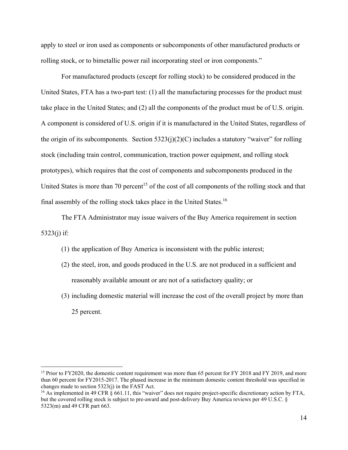apply to steel or iron used as components or subcomponents of other manufactured products or rolling stock, or to bimetallic power rail incorporating steel or iron components."

For manufactured products (except for rolling stock) to be considered produced in the United States, FTA has a two-part test: (1) all the manufacturing processes for the product must take place in the United States; and (2) all the components of the product must be of U.S. origin. A component is considered of U.S. origin if it is manufactured in the United States, regardless of the origin of its subcomponents. Section  $5323(i)(2)(C)$  includes a statutory "waiver" for rolling stock (including train control, communication, traction power equipment, and rolling stock prototypes), which requires that the cost of components and subcomponents produced in the United States is more than 70 percent<sup>15</sup> of the cost of all components of the rolling stock and that final assembly of the rolling stock takes place in the United States.<sup>16</sup>

The FTA Administrator may issue waivers of the Buy America requirement in section 5323(j) if:

- (1) the application of Buy America is inconsistent with the public interest;
- (2) the steel, iron, and goods produced in the U.S. are not produced in a sufficient and reasonably available amount or are not of a satisfactory quality; or
- (3) including domestic material will increase the cost of the overall project by more than 25 percent.

<sup>&</sup>lt;sup>15</sup> Prior to FY2020, the domestic content requirement was more than 65 percent for FY 2018 and FY 2019, and more than 60 percent for FY2015-2017. The phased increase in the minimum domestic content threshold was specified in changes made to section 5323(j) in the FAST Act.

<sup>&</sup>lt;sup>16</sup> As implemented in 49 CFR § 661.11, this "waiver" does not require project-specific discretionary action by FTA, but the covered rolling stock is subject to pre-award and post-delivery Buy America reviews per 49 U.S.C. § 5323(m) and 49 CFR part 663.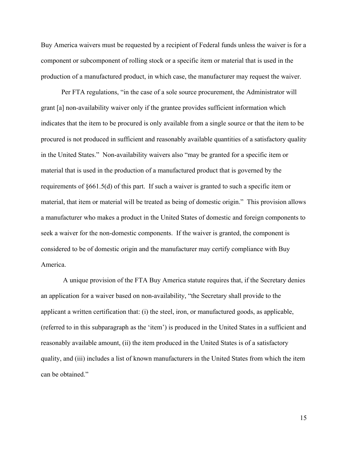Buy America waivers must be requested by a recipient of Federal funds unless the waiver is for a component or subcomponent of rolling stock or a specific item or material that is used in the production of a manufactured product, in which case, the manufacturer may request the waiver.

Per FTA regulations, "in the case of a sole source procurement, the Administrator will grant [a] non-availability waiver only if the grantee provides sufficient information which indicates that the item to be procured is only available from a single source or that the item to be procured is not produced in sufficient and reasonably available quantities of a satisfactory quality in the United States." Non-availability waivers also "may be granted for a specific item or material that is used in the production of a manufactured product that is governed by the requirements of §661.5(d) of this part. If such a waiver is granted to such a specific item or material, that item or material will be treated as being of domestic origin." This provision allows a manufacturer who makes a product in the United States of domestic and foreign components to seek a waiver for the non-domestic components. If the waiver is granted, the component is considered to be of domestic origin and the manufacturer may certify compliance with Buy America.

A unique provision of the FTA Buy America statute requires that, if the Secretary denies an application for a waiver based on non-availability, "the Secretary shall provide to the applicant a written certification that: (i) the steel, iron, or manufactured goods, as applicable, (referred to in this subparagraph as the 'item') is produced in the United States in a sufficient and reasonably available amount, (ii) the item produced in the United States is of a satisfactory quality, and (iii) includes a list of known manufacturers in the United States from which the item can be obtained."

15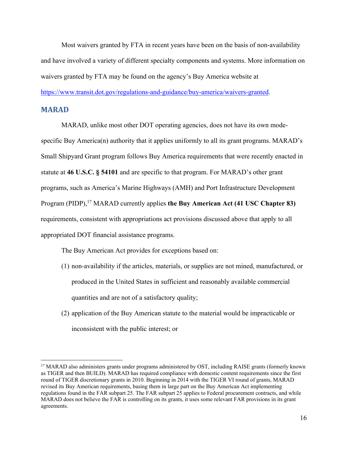Most waivers granted by FTA in recent years have been on the basis of non-availability and have involved a variety of different specialty components and systems. More information on waivers granted by FTA may be found on the agency's Buy America website at https://www.transit.dot.gov/regulations-and-guidance/buy-america/waivers-granted.

#### **MARAD**

MARAD, unlike most other DOT operating agencies, does not have its own modespecific Buy America(n) authority that it applies uniformly to all its grant programs. MARAD's Small Shipyard Grant program follows Buy America requirements that were recently enacted in statute at **46 U.S.C. § 54101** and are specific to that program. For MARAD's other grant programs, such as America's Marine Highways (AMH) and Port Infrastructure Development Program (PIDP),<sup>17</sup> MARAD currently applies **the Buy American Act (41 USC Chapter 83)** requirements, consistent with appropriations act provisions discussed above that apply to all appropriated DOT financial assistance programs.

The Buy American Act provides for exceptions based on:

- (1) non-availability if the articles, materials, or supplies are not mined, manufactured, or produced in the United States in sufficient and reasonably available commercial quantities and are not of a satisfactory quality;
- (2) application of the Buy American statute to the material would be impracticable or inconsistent with the public interest; or

<sup>&</sup>lt;sup>17</sup> MARAD also administers grants under programs administered by OST, including RAISE grants (formerly known as TIGER and then BUILD). MARAD has required compliance with domestic content requirements since the first round of TIGER discretionary grants in 2010. Beginning in 2014 with the TIGER VI round of grants, MARAD revised its Buy American requirements, basing them in large part on the Buy American Act implementing regulations found in the FAR subpart 25. The FAR subpart 25 applies to Federal procurement contracts, and while MARAD does not believe the FAR is controlling on its grants, it uses some relevant FAR provisions in its grant agreements.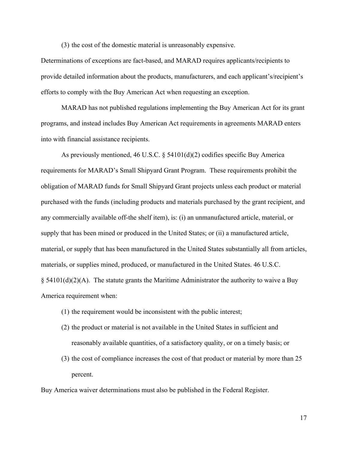(3) the cost of the domestic material is unreasonably expensive.

Determinations of exceptions are fact-based, and MARAD requires applicants/recipients to provide detailed information about the products, manufacturers, and each applicant's/recipient's efforts to comply with the Buy American Act when requesting an exception.

 MARAD has not published regulations implementing the Buy American Act for its grant programs, and instead includes Buy American Act requirements in agreements MARAD enters into with financial assistance recipients.

As previously mentioned, 46 U.S.C.  $\S$  54101(d)(2) codifies specific Buy America requirements for MARAD's Small Shipyard Grant Program. These requirements prohibit the obligation of MARAD funds for Small Shipyard Grant projects unless each product or material purchased with the funds (including products and materials purchased by the grant recipient, and any commercially available off-the shelf item), is: (i) an unmanufactured article, material, or supply that has been mined or produced in the United States; or (ii) a manufactured article, material, or supply that has been manufactured in the United States substantially all from articles, materials, or supplies mined, produced, or manufactured in the United States. 46 U.S.C.  $\S$  54101(d)(2)(A). The statute grants the Maritime Administrator the authority to waive a Buy America requirement when:

- (1) the requirement would be inconsistent with the public interest;
- (2) the product or material is not available in the United States in sufficient and reasonably available quantities, of a satisfactory quality, or on a timely basis; or
- (3) the cost of compliance increases the cost of that product or material by more than 25 percent.

Buy America waiver determinations must also be published in the Federal Register.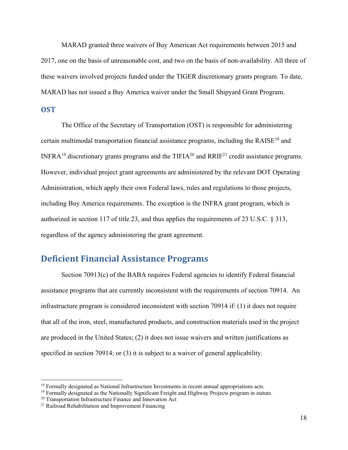MARAD granted three waivers of Buy American Act requirements between 2015 and 2017, one on the basis of unreasonable cost, and two on the basis of non-availability. All three of these waivers involved projects funded under the TIGER discretionary grants program. To date, MARAD has not issued a Buy America waiver under the Small Shipyard Grant Program.

#### **OST**

 The Office of the Secretary of Transportation (OST) is responsible for administering certain multimodal transportation financial assistance programs, including the RAISE18 and INFRA<sup>19</sup> discretionary grants programs and the TIFIA<sup>20</sup> and RRIF<sup>21</sup> credit assistance programs. However, individual project grant agreements are administered by the relevant DOT Operating Administration, which apply their own Federal laws, rules and regulations to those projects, including Buy America requirements. The exception is the INFRA grant program, which is authorized in section 117 of title 23, and thus applies the requirements of 23 U.S.C. § 313, regardless of the agency administering the grant agreement.

## **Deficient Financial Assistance Programs**

 Section 70913(c) of the BABA requires Federal agencies to identify Federal financial assistance programs that are currently inconsistent with the requirements of section 70914. An infrastructure program is considered inconsistent with section 70914 if: (1) it does not require that all of the iron, steel, manufactured products, and construction materials used in the project are produced in the United States; (2) it does not issue waivers and written justifications as specified in section 70914; or (3) it is subject to a waiver of general applicability.

<sup>&</sup>lt;sup>18</sup> Formally designated as National Infrastructure Investments in recent annual appropriations acts.<br><sup>19</sup> Formally designated as the Nationally Significant Freight and Highway Projects program in statute.<br><sup>20</sup> Transporta

<sup>21</sup> Railroad Rehabilitation and Improvement Financing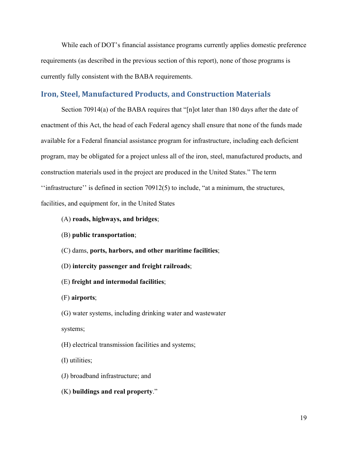While each of DOT's financial assistance programs currently applies domestic preference requirements (as described in the previous section of this report), none of those programs is currently fully consistent with the BABA requirements.

#### **Iron, Steel, Manufactured Products, and Construction Materials**

Section 70914(a) of the BABA requires that "[n]ot later than 180 days after the date of enactment of this Act, the head of each Federal agency shall ensure that none of the funds made available for a Federal financial assistance program for infrastructure, including each deficient program, may be obligated for a project unless all of the iron, steel, manufactured products, and construction materials used in the project are produced in the United States." The term ''infrastructure'' is defined in section 70912(5) to include, "at a minimum, the structures, facilities, and equipment for, in the United States

- (A) **roads, highways, and bridges**;
- (B) **public transportation**;
- (C) dams, **ports, harbors, and other maritime facilities**;
- (D) **intercity passenger and freight railroads**;
- (E) **freight and intermodal facilities**;
- (F) **airports**;
- (G) water systems, including drinking water and wastewater
- systems;
- (H) electrical transmission facilities and systems;
- (I) utilities;
- (J) broadband infrastructure; and
- (K) **buildings and real property**."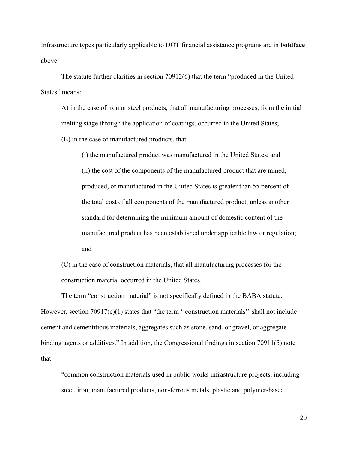Infrastructure types particularly applicable to DOT financial assistance programs are in **boldface** above.

The statute further clarifies in section 70912(6) that the term "produced in the United States" means:

A) in the case of iron or steel products, that all manufacturing processes, from the initial melting stage through the application of coatings, occurred in the United States;

(B) in the case of manufactured products, that—

(i) the manufactured product was manufactured in the United States; and (ii) the cost of the components of the manufactured product that are mined, produced, or manufactured in the United States is greater than 55 percent of the total cost of all components of the manufactured product, unless another standard for determining the minimum amount of domestic content of the manufactured product has been established under applicable law or regulation; and

(C) in the case of construction materials, that all manufacturing processes for the construction material occurred in the United States.

 The term "construction material" is not specifically defined in the BABA statute. However, section 70917(c)(1) states that "the term "construction materials" shall not include cement and cementitious materials, aggregates such as stone, sand, or gravel, or aggregate binding agents or additives." In addition, the Congressional findings in section 70911(5) note that

"common construction materials used in public works infrastructure projects, including steel, iron, manufactured products, non-ferrous metals, plastic and polymer-based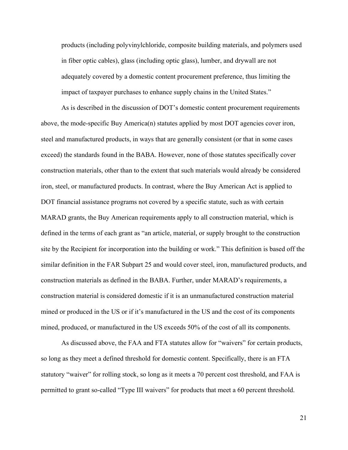products (including polyvinylchloride, composite building materials, and polymers used in fiber optic cables), glass (including optic glass), lumber, and drywall are not adequately covered by a domestic content procurement preference, thus limiting the impact of taxpayer purchases to enhance supply chains in the United States."

 As is described in the discussion of DOT's domestic content procurement requirements above, the mode-specific Buy America(n) statutes applied by most DOT agencies cover iron, steel and manufactured products, in ways that are generally consistent (or that in some cases exceed) the standards found in the BABA. However, none of those statutes specifically cover construction materials, other than to the extent that such materials would already be considered iron, steel, or manufactured products. In contrast, where the Buy American Act is applied to DOT financial assistance programs not covered by a specific statute, such as with certain MARAD grants, the Buy American requirements apply to all construction material, which is defined in the terms of each grant as "an article, material, or supply brought to the construction site by the Recipient for incorporation into the building or work." This definition is based off the similar definition in the FAR Subpart 25 and would cover steel, iron, manufactured products, and construction materials as defined in the BABA. Further, under MARAD's requirements, a construction material is considered domestic if it is an unmanufactured construction material mined or produced in the US or if it's manufactured in the US and the cost of its components mined, produced, or manufactured in the US exceeds 50% of the cost of all its components.

 As discussed above, the FAA and FTA statutes allow for "waivers" for certain products, so long as they meet a defined threshold for domestic content. Specifically, there is an FTA statutory "waiver" for rolling stock, so long as it meets a 70 percent cost threshold, and FAA is permitted to grant so-called "Type III waivers" for products that meet a 60 percent threshold.

21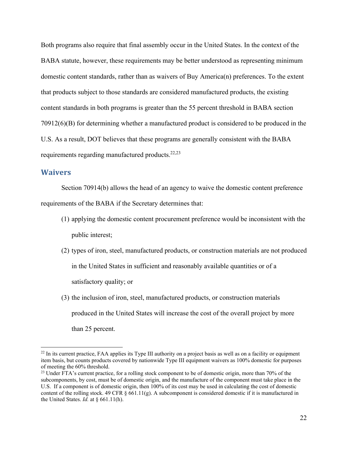Both programs also require that final assembly occur in the United States. In the context of the BABA statute, however, these requirements may be better understood as representing minimum domestic content standards, rather than as waivers of Buy America(n) preferences. To the extent that products subject to those standards are considered manufactured products, the existing content standards in both programs is greater than the 55 percent threshold in BABA section 70912(6)(B) for determining whether a manufactured product is considered to be produced in the U.S. As a result, DOT believes that these programs are generally consistent with the BABA requirements regarding manufactured products.<sup>22,23</sup>

#### **Waivers**

Section 70914(b) allows the head of an agency to waive the domestic content preference requirements of the BABA if the Secretary determines that:

- (1) applying the domestic content procurement preference would be inconsistent with the public interest;
- (2) types of iron, steel, manufactured products, or construction materials are not produced in the United States in sufficient and reasonably available quantities or of a satisfactory quality; or
- (3) the inclusion of iron, steel, manufactured products, or construction materials produced in the United States will increase the cost of the overall project by more than 25 percent.

 $22$  In its current practice, FAA applies its Type III authority on a project basis as well as on a facility or equipment item basis, but counts products covered by nationwide Type III equipment waivers as 100% domestic for purposes of meeting the 60% threshold.

<sup>&</sup>lt;sup>23</sup> Under FTA's current practice, for a rolling stock component to be of domestic origin, more than 70% of the subcomponents, by cost, must be of domestic origin, and the manufacture of the component must take place in the U.S. If a component is of domestic origin, then 100% of its cost may be used in calculating the cost of domestic content of the rolling stock. 49 CFR § 661.11(g). A subcomponent is considered domestic if it is manufactured in the United States. *Id.* at § 661.11(h).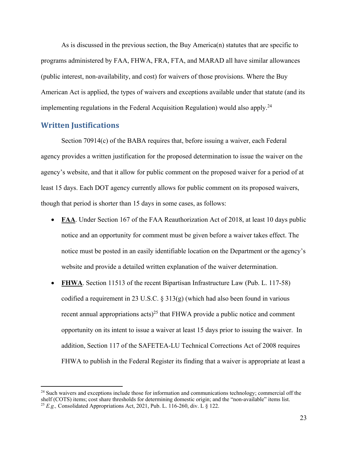As is discussed in the previous section, the Buy America(n) statutes that are specific to programs administered by FAA, FHWA, FRA, FTA, and MARAD all have similar allowances (public interest, non-availability, and cost) for waivers of those provisions. Where the Buy American Act is applied, the types of waivers and exceptions available under that statute (and its implementing regulations in the Federal Acquisition Regulation) would also apply.<sup>24</sup>

#### **Written Justifications**

 Section 70914(c) of the BABA requires that, before issuing a waiver, each Federal agency provides a written justification for the proposed determination to issue the waiver on the agency's website, and that it allow for public comment on the proposed waiver for a period of at least 15 days. Each DOT agency currently allows for public comment on its proposed waivers, though that period is shorter than 15 days in some cases, as follows:

- **FAA**. Under Section 167 of the FAA Reauthorization Act of 2018, at least 10 days public notice and an opportunity for comment must be given before a waiver takes effect. The notice must be posted in an easily identifiable location on the Department or the agency's website and provide a detailed written explanation of the waiver determination.
- FHWA. Section 11513 of the recent Bipartisan Infrastructure Law (Pub. L. 117-58) codified a requirement in 23 U.S.C.  $\S$  313(g) (which had also been found in various recent annual appropriations acts)<sup>25</sup> that FHWA provide a public notice and comment opportunity on its intent to issue a waiver at least 15 days prior to issuing the waiver. In addition, Section 117 of the SAFETEA-LU Technical Corrections Act of 2008 requires FHWA to publish in the Federal Register its finding that a waiver is appropriate at least a

<sup>&</sup>lt;sup>24</sup> Such waivers and exceptions include those for information and communications technology; commercial off the shelf (COTS) items; cost share thresholds for determining domestic origin; and the "non-available" items list. 25 *E.g.,* Consolidated Appropriations Act, 2021, Pub. L. 116-260, div. L § 122.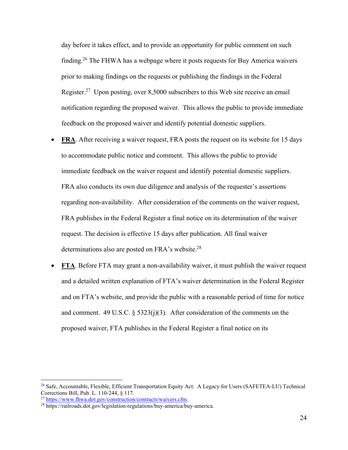day before it takes effect, and to provide an opportunity for public comment on such finding.26 The FHWA has a webpage where it posts requests for Buy America waivers prior to making findings on the requests or publishing the findings in the Federal Register.27 Upon posting, over 8,5000 subscribers to this Web site receive an email notification regarding the proposed waiver. This allows the public to provide immediate feedback on the proposed waiver and identify potential domestic suppliers.

- **FRA**. After receiving a waiver request, FRA posts the request on its website for 15 days to accommodate public notice and comment. This allows the public to provide immediate feedback on the waiver request and identify potential domestic suppliers. FRA also conducts its own due diligence and analysis of the requester's assertions regarding non-availability. After consideration of the comments on the waiver request, FRA publishes in the Federal Register a final notice on its determination of the waiver request. The decision is effective 15 days after publication. All final waiver determinations also are posted on FRA's website.<sup>28</sup>
- **FTA**. Before FTA may grant a non-availability waiver, it must publish the waiver request and a detailed written explanation of FTA's waiver determination in the Federal Register and on FTA's website, and provide the public with a reasonable period of time for notice and comment. 49 U.S.C.  $\S$  5323(j)(3). After consideration of the comments on the proposed waiver, FTA publishes in the Federal Register a final notice on its

<sup>26</sup> Safe, Accountable, Flexible, Efficient Transportation Equity Act: A Legacy for Users (SAFETEA-LU) Technical Corrections Bill, Pub. L. 110-244, § 117.<br><sup>27</sup> https://www.fhwa.dot.gov/construction/contracts/waivers.cfm.

 $28 \text{ https://railroads.dot.gov/legislation-regulations/buy-american/buy-american.}$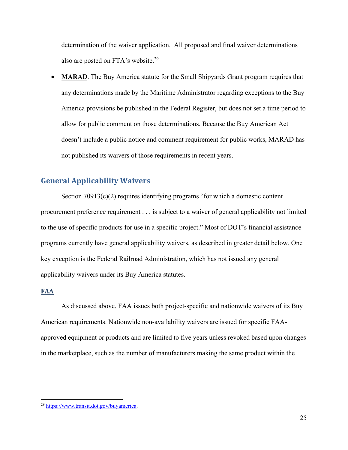determination of the waiver application. All proposed and final waiver determinations also are posted on FTA's website.<sup>29</sup>

 **MARAD**. The Buy America statute for the Small Shipyards Grant program requires that any determinations made by the Maritime Administrator regarding exceptions to the Buy America provisions be published in the Federal Register, but does not set a time period to allow for public comment on those determinations. Because the Buy American Act doesn't include a public notice and comment requirement for public works, MARAD has not published its waivers of those requirements in recent years.

#### **General Applicability Waivers**

Section  $70913(c)(2)$  requires identifying programs "for which a domestic content procurement preference requirement . . . is subject to a waiver of general applicability not limited to the use of specific products for use in a specific project." Most of DOT's financial assistance programs currently have general applicability waivers, as described in greater detail below. One key exception is the Federal Railroad Administration, which has not issued any general applicability waivers under its Buy America statutes.

#### **FAA**

As discussed above, FAA issues both project-specific and nationwide waivers of its Buy American requirements. Nationwide non-availability waivers are issued for specific FAAapproved equipment or products and are limited to five years unless revoked based upon changes in the marketplace, such as the number of manufacturers making the same product within the

<sup>29</sup> https://www.transit.dot.gov/buyamerica.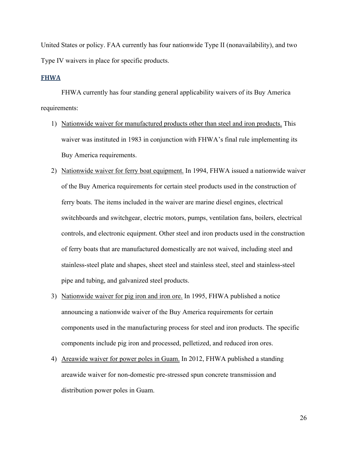United States or policy. FAA currently has four nationwide Type II (nonavailability), and two Type IV waivers in place for specific products.

#### **FHWA**

 FHWA currently has four standing general applicability waivers of its Buy America requirements:

- 1) Nationwide waiver for manufactured products other than steel and iron products. This waiver was instituted in 1983 in conjunction with FHWA's final rule implementing its Buy America requirements.
- 2) Nationwide waiver for ferry boat equipment. In 1994, FHWA issued a nationwide waiver of the Buy America requirements for certain steel products used in the construction of ferry boats. The items included in the waiver are marine diesel engines, electrical switchboards and switchgear, electric motors, pumps, ventilation fans, boilers, electrical controls, and electronic equipment. Other steel and iron products used in the construction of ferry boats that are manufactured domestically are not waived, including steel and stainless-steel plate and shapes, sheet steel and stainless steel, steel and stainless-steel pipe and tubing, and galvanized steel products.
- 3) Nationwide waiver for pig iron and iron ore. In 1995, FHWA published a notice announcing a nationwide waiver of the Buy America requirements for certain components used in the manufacturing process for steel and iron products. The specific components include pig iron and processed, pelletized, and reduced iron ores.
- 4) Areawide waiver for power poles in Guam. In 2012, FHWA published a standing areawide waiver for non-domestic pre-stressed spun concrete transmission and distribution power poles in Guam.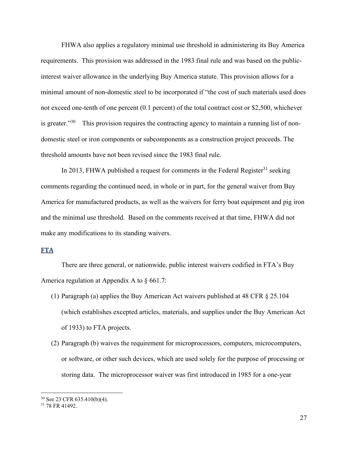FHWA also applies a regulatory minimal use threshold in administering its Buy America requirements. This provision was addressed in the 1983 final rule and was based on the publicinterest waiver allowance in the underlying Buy America statute. This provision allows for a minimal amount of non-domestic steel to be incorporated if "the cost of such materials used does not exceed one-tenth of one percent (0.1 percent) of the total contract cost or \$2,500, whichever is greater. $130$  This provision requires the contracting agency to maintain a running list of nondomestic steel or iron components or subcomponents as a construction project proceeds. The threshold amounts have not been revised since the 1983 final rule.

In 2013, FHWA published a request for comments in the Federal Register<sup>31</sup> seeking comments regarding the continued need, in whole or in part, for the general waiver from Buy America for manufactured products, as well as the waivers for ferry boat equipment and pig iron and the minimal use threshold. Based on the comments received at that time, FHWA did not make any modifications to its standing waivers.

#### **FTA**

There are three general, or nationwide, public interest waivers codified in FTA's Buy America regulation at Appendix A to § 661.7:

- (1) Paragraph (a) applies the Buy American Act waivers published at 48 CFR § 25.104 (which establishes excepted articles, materials, and supplies under the Buy American Act of 1933) to FTA projects.
- (2) Paragraph (b) waives the requirement for microprocessors, computers, microcomputers, or software, or other such devices, which are used solely for the purpose of processing or storing data. The microprocessor waiver was first introduced in 1985 for a one-year

<sup>30</sup> See 23 CFR 635.410(b)(4).

<sup>31 78</sup> FR 41492.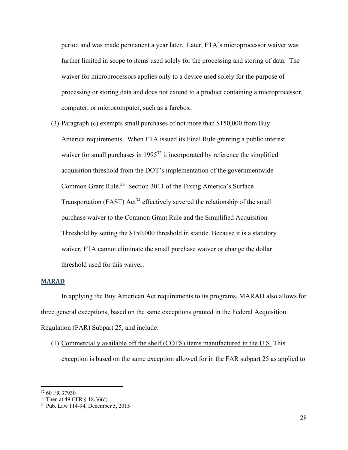period and was made permanent a year later. Later, FTA's microprocessor waiver was further limited in scope to items used solely for the processing and storing of data. The waiver for microprocessors applies only to a device used solely for the purpose of processing or storing data and does not extend to a product containing a microprocessor, computer, or microcomputer, such as a farebox.

(3) Paragraph (c) exempts small purchases of not more than \$150,000 from Buy America requirements. When FTA issued its Final Rule granting a public interest waiver for small purchases in 1995<sup>32</sup> it incorporated by reference the simplified acquisition threshold from the DOT's implementation of the governmentwide Common Grant Rule.<sup>33</sup> Section 3011 of the Fixing America's Surface Transportation (FAST)  $Act^{34}$  effectively severed the relationship of the small purchase waiver to the Common Grant Rule and the Simplified Acquisition Threshold by setting the \$150,000 threshold in statute. Because it is a statutory waiver, FTA cannot eliminate the small purchase waiver or change the dollar threshold used for this waiver.

#### **MARAD**

In applying the Buy American Act requirements to its programs, MARAD also allows for three general exceptions, based on the same exceptions granted in the Federal Acquisition Regulation (FAR) Subpart 25, and include:

(1) Commercially available off the shelf (COTS) items manufactured in the U.S. This exception is based on the same exception allowed for in the FAR subpart 25 as applied to

<sup>32 60</sup> FR 37930

<sup>33</sup> Then at 49 CFR § 18.36(d)

<sup>34</sup> Pub. Law 114-94, December 5, 2015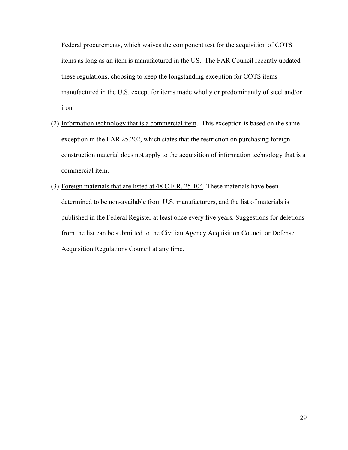Federal procurements, which waives the component test for the acquisition of COTS items as long as an item is manufactured in the US. The FAR Council recently updated these regulations, choosing to keep the longstanding exception for COTS items manufactured in the U.S. except for items made wholly or predominantly of steel and/or iron.

- (2) Information technology that is a commercial item.This exception is based on the same exception in the FAR 25.202, which states that the restriction on purchasing foreign construction material does not apply to the acquisition of information technology that is a commercial item.
- (3) Foreign materials that are listed at 48 C.F.R. 25.104. These materials have been determined to be non-available from U.S. manufacturers, and the list of materials is published in the Federal Register at least once every five years. Suggestions for deletions from the list can be submitted to the Civilian Agency Acquisition Council or Defense Acquisition Regulations Council at any time.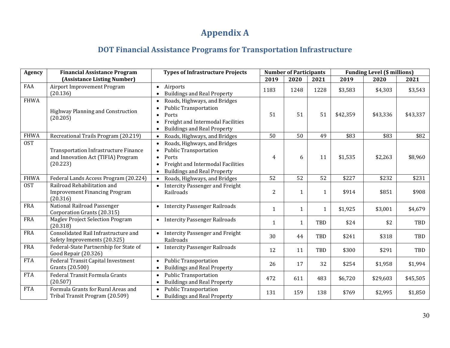# **Appendix A**

## **DOT Financial Assistance Programs for Transportation Infrastructure**

| <b>Agency</b> | <b>Financial Assistance Program</b>                                                            | <b>Types of Infrastructure Projects</b>                                                                                                                                                 | <b>Number of Participants</b> |              |              | <b>Funding Level (\$ millions)</b> |          |          |  |
|---------------|------------------------------------------------------------------------------------------------|-----------------------------------------------------------------------------------------------------------------------------------------------------------------------------------------|-------------------------------|--------------|--------------|------------------------------------|----------|----------|--|
|               | (Assistance Listing Number)                                                                    |                                                                                                                                                                                         | 2019                          | 2020         | 2021         | 2019                               | 2020     | 2021     |  |
| FAA           | Airport Improvement Program<br>(20.136)                                                        | Airports<br>$\bullet$<br><b>Buildings and Real Property</b><br>$\bullet$                                                                                                                | 1183                          | 1248         | 1228         | \$3,583                            | \$4,303  | \$3,543  |  |
| <b>FHWA</b>   | Highway Planning and Construction<br>(20.205)                                                  | Roads, Highways, and Bridges<br>$\bullet$<br><b>Public Transportation</b><br>Ports<br>$\bullet$<br>Freight and Intermodal Facilities<br><b>Buildings and Real Property</b><br>$\bullet$ | 51                            | 51           | 51           | \$42,359                           | \$43,336 | \$43,337 |  |
| <b>FHWA</b>   | Recreational Trails Program (20.219)                                                           | Roads, Highways, and Bridges<br>$\bullet$                                                                                                                                               | 50                            | 50           | 49           | \$83                               | \$83     | \$82     |  |
| <b>OST</b>    | <b>Transportation Infrastructure Finance</b><br>and Innovation Act (TIFIA) Program<br>(20.223) | Roads, Highways, and Bridges<br><b>Public Transportation</b><br>Ports<br>$\bullet$<br>Freight and Intermodal Facilities<br><b>Buildings and Real Property</b><br>$\bullet$              | 4                             | 6            | 11           | \$1,535                            | \$2,263  | \$8,960  |  |
| <b>FHWA</b>   | Federal Lands Access Program (20.224)                                                          | Roads, Highways, and Bridges<br>$\bullet$                                                                                                                                               | 52                            | 52           | 52           | \$227                              | \$232    | \$231    |  |
| <b>OST</b>    | Railroad Rehabilitation and<br><b>Improvement Financing Program</b><br>(20.316)                | • Intercity Passenger and Freight<br>Railroads                                                                                                                                          | $\overline{2}$                | $\mathbf{1}$ | $\mathbf{1}$ | \$914                              | \$851    | \$908    |  |
| FRA           | National Railroad Passenger<br>Corporation Grants (20.315)                                     | <b>Intercity Passenger Railroads</b><br>$\bullet$                                                                                                                                       | $\mathbf{1}$                  | $\mathbf{1}$ | $\mathbf{1}$ | \$1,925                            | \$3,001  | \$4,679  |  |
| <b>FRA</b>    | <b>Maglev Project Selection Program</b><br>(20.318)                                            | <b>Intercity Passenger Railroads</b><br>$\bullet$                                                                                                                                       | $\mathbf{1}$                  | $\mathbf{1}$ | TBD          | \$24                               | \$2      | TBD      |  |
| <b>FRA</b>    | Consolidated Rail Infrastructure and<br>Safety Improvements (20.325)                           | <b>Intercity Passenger and Freight</b><br>Railroads                                                                                                                                     | 30                            | 44           | TBD          | \$241                              | \$318    | TBD      |  |
| <b>FRA</b>    | Federal-State Partnership for State of<br>Good Repair (20.326)                                 | • Intercity Passenger Railroads                                                                                                                                                         | 12                            | 11           | TBD          | \$300                              | \$291    | TBD      |  |
| <b>FTA</b>    | Federal Transit Capital Investment<br>Grants (20.500)                                          | <b>Public Transportation</b><br><b>Buildings and Real Property</b><br>$\bullet$                                                                                                         | 26                            | 17           | 32           | \$254                              | \$1,958  | \$1,994  |  |
| <b>FTA</b>    | Federal Transit Formula Grants<br>(20.507)                                                     | <b>Public Transportation</b><br>$\bullet$<br><b>Buildings and Real Property</b><br>$\bullet$                                                                                            | 472                           | 611          | 483          | \$6,720                            | \$29,603 | \$45,505 |  |
| <b>FTA</b>    | Formula Grants for Rural Areas and<br>Tribal Transit Program (20.509)                          | <b>Public Transportation</b><br><b>Buildings and Real Property</b><br>$\bullet$                                                                                                         | 131                           | 159          | 138          | \$769                              | \$2,995  | \$1,850  |  |